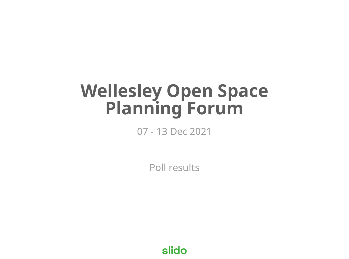# **Wellesley Open Space Planning Forum**

### 07 - 13 Dec 2021

Poll results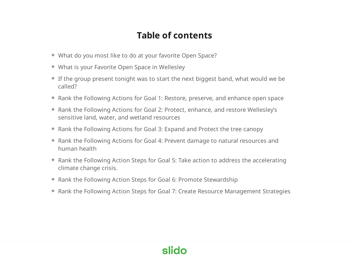#### **Table of contents**

- What do you most like to do at your favorite Open Space?
- What is your Favorite Open Space in Wellesley
- If the group present tonight was to start the next biggest band, what would we be called?
- Rank the Following Actions for Goal 1: Restore, preserve, and enhance open space
- Rank the Following Actions for Goal 2: Protect, enhance, and restore Wellesley's sensitive land, water, and wetland resources
- Rank the Following Actions for Goal 3: Expand and Protect the tree canopy
- Rank the Following Actions for Goal 4: Prevent damage to natural resources and human health
- Rank the Following Action Steps for Goal 5: Take action to address the accelerating climate change crisis.
- Rank the Following Action Steps for Goal 6: Promote Stewardship
- Rank the Following Action Steps for Goal 7: Create Resource Management Strategies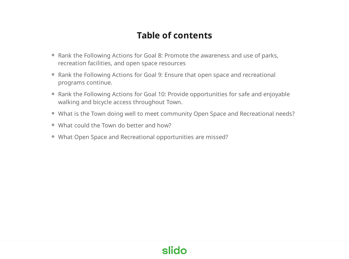#### **Table of contents**

- Rank the Following Actions for Goal 8: Promote the awareness and use of parks, recreation facilities, and open space resources
- Rank the Following Actions for Goal 9: Ensure that open space and recreational programs continue.
- Rank the Following Actions for Goal 10: Provide opportunities for safe and enjoyable walking and bicycle access throughout Town.
- What is the Town doing well to meet community Open Space and Recreational needs?
- What could the Town do better and how?
- What Open Space and Recreational opportunities are missed?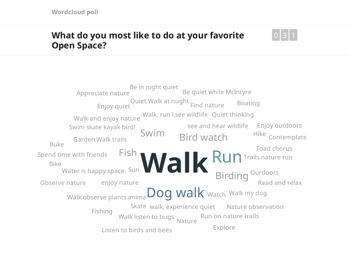#### **What do you most like to do at your favorite Open Space?**



Walk<sup>Run</sup> Dog walk watch Walk my dog Swim Fish **Birding Ourdoors** Bird watch Skate walk, experience quiet Nature observation see and hear wildlife Enjoy outdoors enjoy nature Water is happy space Sun Walk, run l,see wildlife Walk trails Garden Walk observe plants anima Walk listen to bugs Walk and enjoy nature Trails nature run Toad chorus Swim skate kayak bird! Spend time with friends Run on nature trails Read and relax Quiet thinking Quiet Walk at nught Ourdoors Observe nature Nature Listen to birds and bees Hike Contemplate Fishing Enjoy quiet Called Manual Harger Find nature Explore Buke Boating Bike Be quiet while McIntyre Be in night quiet Appreciate nature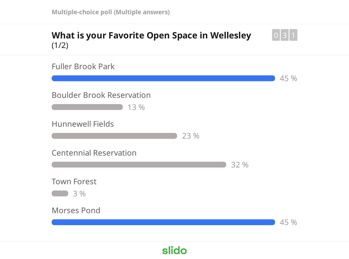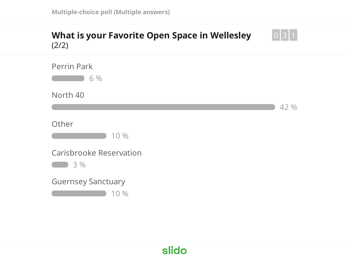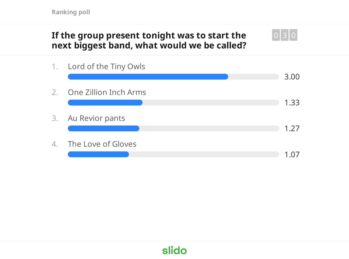#### **If the group present tonight was to start the next biggest band, what would we be called?**



0 3 1 0

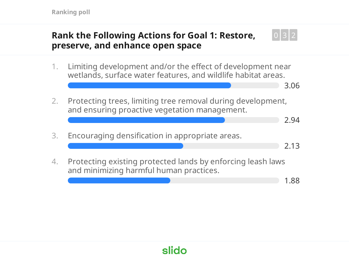#### **Rank the Following Actions for Goal 1: Restore, preserve, and enhance open space**

- 1. Limiting development and/or the effect of development near wetlands, surface water features, and wildlife habitat areas.
- 2. Protecting trees, limiting tree removal during development, and ensuring proactive vegetation management.
- 3. Encouraging densification in appropriate areas.
- 4. Protecting existing protected lands by enforcing leash laws and minimizing harmful human practices.

1.88

0 3 2

3.06

2.94

2.13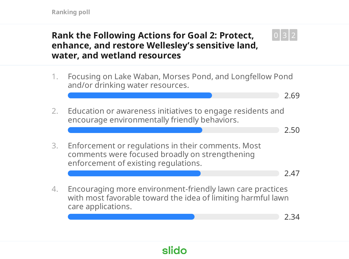#### **Rank the Following Actions for Goal 2: Protect, enhance, and restore Wellesley's sensitive land, water, and wetland resources**

- 1. Focusing on Lake Waban, Morses Pond, and Longfellow Pond and/or drinking water resources.
- 2. Education or awareness initiatives to engage residents and encourage environmentally friendly behaviors.
- 3. Enforcement or regulations in their comments. Most comments were focused broadly on strengthening enforcement of existing regulations.

2.47

2.69

2.50

0 3 2

4. Encouraging more environment-friendly lawn care practices with most favorable toward the idea of limiting harmful lawn care applications.

2.34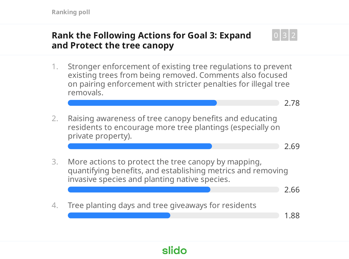#### **Rank the Following Actions for Goal 3: Expand and Protect the tree canopy**

- 1. Stronger enforcement of existing tree regulations to prevent existing trees from being removed. Comments also focused on pairing enforcement with stricter penalties for illegal tree removals.
- 2. Raising awareness of tree canopy benefits and educating residents to encourage more tree plantings (especially on private property).
- 3. More actions to protect the tree canopy by mapping, quantifying benefits, and establishing metrics and removing invasive species and planting native species.
	- 2.66

2.78

2.69

0 3 2

4. Tree planting days and tree giveaways for residents

1.88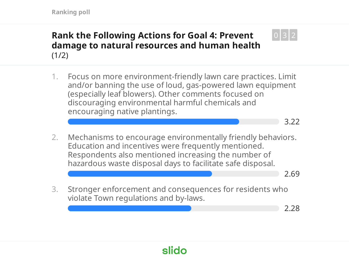#### **Rank the Following Actions for Goal 4: Prevent damage to natural resources and human health**  $(1/2)$

- 1. Focus on more environment-friendly lawn care practices. Limit and/or banning the use of loud, gas-powered lawn equipment (especially leaf blowers). Other comments focused on discouraging environmental harmful chemicals and encouraging native plantings.
- 2. Mechanisms to encourage environmentally friendly behaviors. Education and incentives were frequently mentioned. Respondents also mentioned increasing the number of hazardous waste disposal days to facilitate safe disposal.

2.69

3.22

0 3 2

3. Stronger enforcement and consequences for residents who violate Town regulations and by-laws.

2.28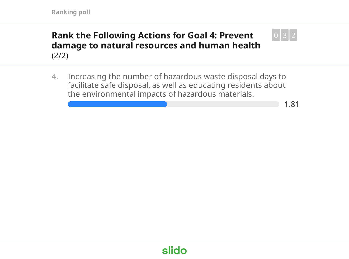#### **Rank the Following Actions for Goal 4: Prevent damage to natural resources and human health** (2/2)

4. Increasing the number of hazardous waste disposal days to facilitate safe disposal, as well as educating residents about the environmental impacts of hazardous materials.

1.81

0 3 2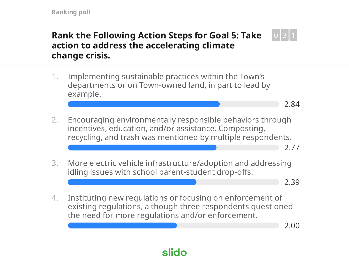#### **Rank the Following Action Steps for Goal 5: Take action to address the accelerating climate change crisis.** 0 3 1

- 1. Implementing sustainable practices within the Town's departments or on Town-owned land, in part to lead by example.
- 2.84
- 2. Encouraging environmentally responsible behaviors through incentives, education, and/or assistance. Composting, recycling, and trash was mentioned by multiple respondents.
- 3. More electric vehicle infrastructure/adoption and addressing idling issues with school parent-student drop-offs.

2.39

2.77

4. Instituting new regulations or focusing on enforcement of existing regulations, although three respondents questioned the need for more regulations and/or enforcement.

slido

2.00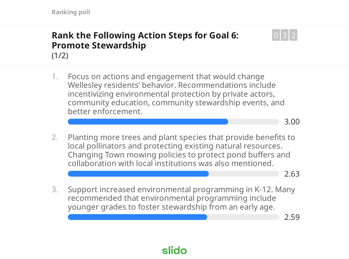#### **Rank the Following Action Steps for Goal 6: Promote Stewardship**  $(1/2)$

- 1. Focus on actions and engagement that would change Wellesley residents' behavior. Recommendations include incentivizing environmental protection by private actors, community education, community stewardship events, and better enforcement.
	- 3.00

0 3 2

2. Planting more trees and plant species that provide benefits to local pollinators and protecting existing natural resources. Changing Town mowing policies to protect pond buffers and collaboration with local institutions was also mentioned.

2.63

3. Support increased environmental programming in K-12. Many recommended that environmental programming include younger grades to foster stewardship from an early age.

2.59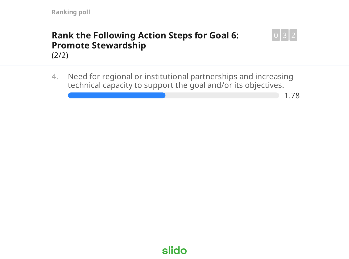#### **Rank the Following Action Steps for Goal 6: Promote Stewardship** (2/2)



1.78

0 3 2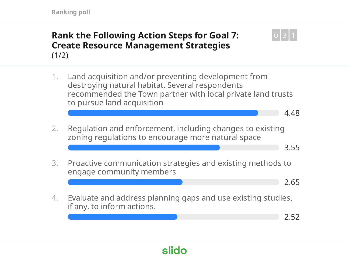#### **Rank the Following Action Steps for Goal 7: Create Resource Management Strategies**  $(1/2)$

1. Land acquisition and/or preventing development from destroying natural habitat. Several respondents recommended the Town partner with local private land trusts to pursue land acquisition

4.48

0 3 1

2. Regulation and enforcement, including changes to existing zoning regulations to encourage more natural space

3.55

3. Proactive communication strategies and existing methods to engage community members

2.65

4. Evaluate and address planning gaps and use existing studies, if any, to inform actions.

slido

2.52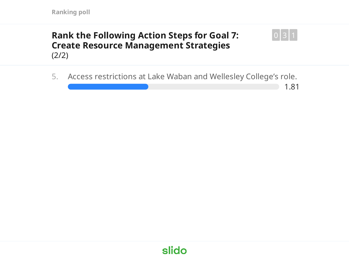#### **Rank the Following Action Steps for Goal 7: Create Resource Management Strategies** (2/2)



1.81

0 3 1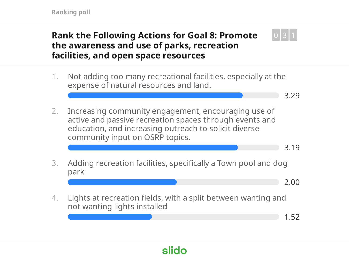#### **Rank the Following Actions for Goal 8: Promote the awareness and use of parks, recreation facilities, and open space resources**

- 1. Not adding too many recreational facilities, especially at the expense of natural resources and land.
	- 3.29

0 3 1

- 2. Increasing community engagement, encouraging use of active and passive recreation spaces through events and education, and increasing outreach to solicit diverse community input on OSRP topics.
- 3.19
- 3. Adding recreation facilities, specifically a Town pool and dog park

2.00

4. Lights at recreation fields, with a split between wanting and not wanting lights installed

1.52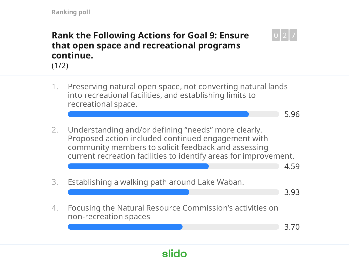### **Rank the Following Actions for Goal 9: Ensure that open space and recreational programs continue.**



1. Preserving natural open space, not converting natural lands into recreational facilities, and establishing limits to recreational space.

5.96

0 2 7

2. Understanding and/or defining "needs" more clearly. Proposed action included continued engagement with community members to solicit feedback and assessing current recreation facilities to identify areas for improvement.

4.59

3. Establishing a walking path around Lake Waban. 3.93 4. Focusing the Natural Resource Commission's activities on non-recreation spaces 3.70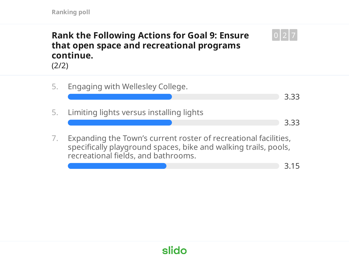### **Rank the Following Actions for Goal 9: Ensure that open space and recreational programs continue.**



5. Engaging with Wellesley College. 3.33 5. Limiting lights versus installing lights 3.33 7. Expanding the Town's current roster of recreational facilities, specifically playground spaces, bike and walking trails, pools, recreational fields, and bathrooms.

3.15

0 2 7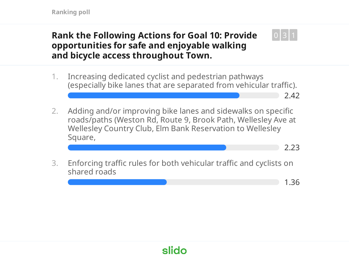#### **Rank the Following Actions for Goal 10: Provide opportunities for safe and enjoyable walking and bicycle access throughout Town.**



- 2. Adding and/or improving bike lanes and sidewalks on specific roads/paths (Weston Rd, Route 9, Brook Path, Wellesley Ave at Wellesley Country Club, Elm Bank Reservation to Wellesley Square,
	- 2.23

2.42

0 3 1

3. Enforcing traffic rules for both vehicular traffic and cyclists on shared roads

1.36

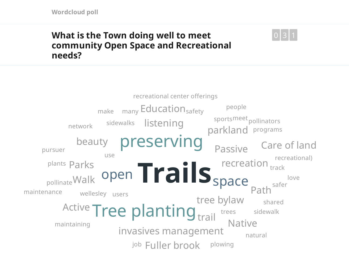#### **What is the Town doing well to meet community Open Space and Recreational needs?**



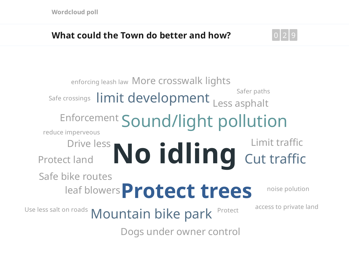### **What could the Town do better and how?**



Drive less No idling **Protect trees** Enforcement Sound/light pollution Safe crossings  $\prod_{i=1}^{n}$  limit development Less asphalt Mountain bike park Cut traffic leaf blowers Safe bike routes Protect land enforcing leash law More crosswalk lights Limit traffic Dogs under owner control reduce imperveous noise polution Use less salt on roads  $\Lambda$   $\Lambda$  out that  $\mathbf{a}$  in  $\mathbf{b}$  is  $\mathbf{b}$  access to private land Safer paths Protect